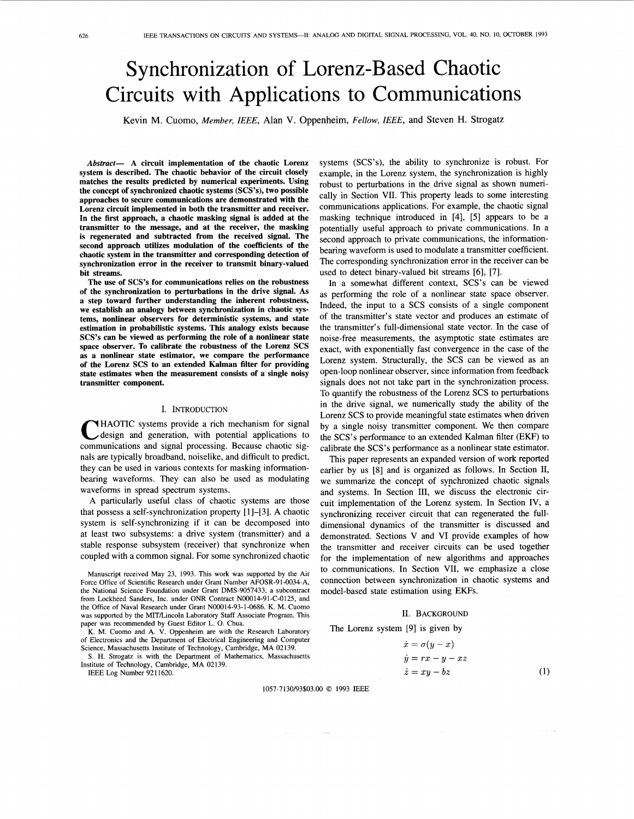# Synchronization of Lorenz-Based Chaotic Circuits with Applications to Communications

Kevin **M.** Cuomo, *Member, IEEE,* Alan V. Oppenheim, *Fellow, IEEE,* and Steven H. Strogatz

*Abstruct-* A circuit implementation of the chaotic Lorenz system is described. The chaotic behavior of the circuit closely matches the results predicted by numerical experiments. Using the concept of synchronized chaotic systems **(SCS's),** two possible approaches to secure communications are demonstrated with the Lorenz circuit implemented in both the transmitter and receiver. In the first approach, a chaotic masking signal is added at the transmitter to the message, and at the receiver, the masking is regenerated and subtracted from the received signal. The second approach utilizes modulation of the coefficients of the chaotic system in the transmitter and corresponding detection of synchronization error in the receiver to transmit binary-valued bit streams.

The use of **SCS's** for communications relies on the robustness of the synchronization to perturbations in the drive signal. **As**  a step toward further understanding the inherent robustness, we establish an analogy between synchronization in chaotic systems, nonlinear observers for deterministic systems, and state estimation in probabilistic systems. This analogy exists because **SCS's** can be viewed as performing the role of a nonlinear state space observer. To calibrate the robustness of the Lorenz SCS as a nonlinear state estimator, we compare the performance of the Lorenz SCS to an extended Kalman filter for providing state estimates when the measurement consists of a single noisy transmitter component.

#### 1. INTRODUCTION

**HAOTIC** systems provide a rich mechanism for signal design and generation, with potential applications to communications and signal processing. Because chaotic signals are typically broadband, noiselike, and difficult to predict, they can be used in various contexts for masking informationbearing waveforms. They can also be used as modulating waveforms in spread spectrum systems.

**A** particularly useful class of chaotic systems are those that possess a self-synchronization property [ **11-[3]. A** chaotic system is self-synchronizing if it can be decomposed into at least two subsystems: a drive system (transmitter) and a stable response subsystem (receiver) that synchronize when coupled with a common signal. For some synchronized chaotic

of Electronics and the Department of Electrical Engineering and Computer Science, Massachusetts Institute of Technology, Cambridge, MA 02139.

**S.** H. Strogatz is with the Department of Mathematics, Massachusetts Institute of Technology, Cambridge, MA 02139.

IEEE Log Number 921 1620.

systems **(SCS's),** the ability to synchronize is robust. For example, in the Lorenz system, the synchronization is highly robust to perturbations in the drive signal as shown numerically in Section VII. This property leads to some interesting communications applications. For example, the chaotic signal masking technique introduced in [4], [5] appears to be a potentially useful approach to private communications. In a second approach to private communications, the informationbearing waveform is used to modulate a transmitter coefficient. The corresponding synchronization error in the receiver can be used to detect binary-valued bit streams **[6],** [7].

In a somewhat different context, **SCS's** can be viewed as performing the role of a nonlinear state space observer. Indeed, the input to a **SCS** consists of a single component of the transmitter's state vector and produces an estimate of the transmitter's full-dimensional state vector. In the case of noise-free measurements, the asymptotic state estimates are exact, with exponentially fast convergence in the case of the Lorenz system. Structurally, the **SCS** can be viewed as an open-loop nonlinear observer, since information from feedback signals does not not take part in the synchronization process. To quantify the robustness of the Lorenz **SCS** to perturbations in the drive signal, we numerically study the ability of the Lorenz **SCS** to provide meaningful state estimates when driven by a single noisy transmitter component. We then compare the **SCS's** performance to an extended Kalman filter (EKF) to calibrate the **SCS's** performance as a nonlinear state estimator.

This paper represents an expanded version of work reported earlier by us **[8]** and is organized as follows. In Section 11, we summarize the concept of synchronized chaotic signals and systems. In Section 111, we discuss the electronic circuit implementation of the Lorenz system. In Section IV, a synchronizing receiver circuit that can regenerated the fulldimensional dynamics of the transmitter is discussed and demonstrated. Sections V and VI provide examples of how the transmitter and receiver circuits can be used together for the implementation of new algorithms and approaches to communications. In Section VII, we emphasize a close connection between synchronization in chaotic systems and model-based state estimation using EKFs.

# II. BACKGROUND

The Lorenz system **[9]** is given by

$$
\begin{aligned}\n\dot{x} &= \sigma(y - x) \\
\dot{y} &= rx - y - xz \\
\dot{z} &= xy - bz\n\end{aligned}
$$
\n(1)

1057-7130/93\$03.00 *0* 1993 IEEE

$$
\ldots \ldots \, .
$$

Manuscript received May 23, 1993. This work was supported by the Air Force Office of Scientific Research under Grant Number AFOSR-91-0034-A, the National Science Foundation under Grant DMS-9057433, a subcontract from Lockheed Sanders, Inc. under ONR Contract N00014-91-C-0125, and the Office of Naval Research under Grant N00014-93-1-0686. K. M. Cuomo was supported by the MITLincoln Laboratory Staff Associate Program. This mas support was recommended by Guest Editor L. O. Chua.<br>
K. M. Cuomo and A. V. Oppenheim are with the Research Laboratory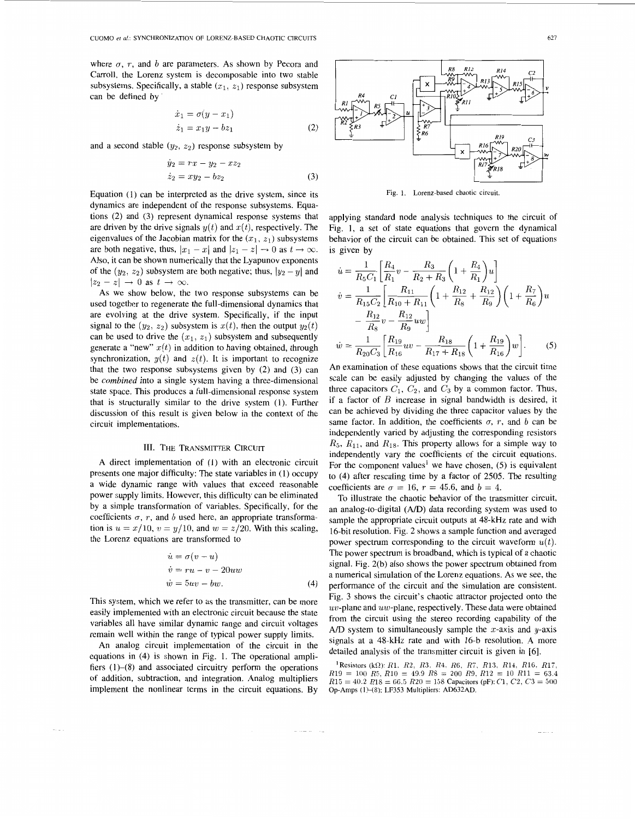<span id="page-1-0"></span>where  $\sigma$ , r, and *b* are parameters. As shown by Pecora and Carroll, the Lorenz system is decomposable into two stable subsystems. Specifically, a stable  $(x_1, z_1)$  response subsystem can be defined by

$$
\begin{aligned}\n\dot{x}_1 &= \sigma(y - x_1) \\
\dot{z}_1 &= x_1y - bz_1\n\end{aligned} \tag{2}
$$

and a second stable  $(y_2, z_2)$  response subsystem by

$$
\dot{y}_2 = rx - y_2 - xz_2 \n\dot{z}_2 = xy_2 - bz_2
$$
\n(3)

Equation (1) can be interpreted as the drive system, since its dynamics are independent of the response subsystems. Equations (2) and (3) represent dynamical response systems that are driven by the drive signals  $y(t)$  and  $x(t)$ , respectively. The eigenvalues of the Jacobian matrix for the  $(x_1, z_1)$  subsystems are both negative, thus,  $|x_1 - x|$  and  $|z_1 - z| \rightarrow 0$  as  $t \rightarrow \infty$ . Also, it can be shown numerically that the Lyapunov exponents of the  $(y_2, z_2)$  subsystem are both negative; thus,  $|y_2 - y|$  and  $|z_2 - z| \rightarrow 0$  as  $t \rightarrow \infty$ .

As we show below, the two response subsystems can be used together to regenerate the full-dimensional dynamics that are evolving at the drive system. Specifically, if the input signal to the  $(y_2, z_2)$  subsystem is  $x(t)$ , then the output  $y_2(t)$ can be used to drive the  $(x_1, z_1)$  subsystem and subsequently generate a "new"  $x(t)$  in addition to having obtained, through synchronization,  $y(t)$  and  $z(t)$ . It is important to recognize that the two response subsystems given by (2) and (3) can be *combined* into a single system having a three-dimensional state space. This produces a full-dimensional response system that is structurally similar to the drive system (1). Further discussion of this result is given below in the context of the circuit implementations.

# **111.** THE TRANSMITTER CIRCUIT

**A** direct implementation of (1) with an electronic circuit presents one major difficulty: The state variables in (1) occupy a wide dynamic range with values that exceed reasonable power supply limits. However, this difficulty can be eliminated by a simple transformation of variables. Specifically, for the coefficients  $\sigma$ ,  $r$ , and  $b$  used here, an appropriate transformation is  $u = x/10$ ,  $v = y/10$ , and  $w = z/20$ . With this scaling, the Lorenz equations are transformed to<br>  $\dot{u} = \sigma(v - u)$ 

$$
\dot{u} = \sigma(v - u)
$$
  
\n
$$
\dot{v} = ru - v - 20uw
$$
  
\n
$$
\dot{w} = 5uv - bw.
$$
 (4)

This system, which we refer to as the transmitter, can be more easily implemented with an electronic circuit because the state variables all have similar dynamic range and circuit voltages remain well within the range of typical power supply limits.

An analog circuit implementation of the circuit in the equations in (4) is shown in Fig. 1. The operational amplifiers  $(1)$ – $(8)$  and associated circuitry perform the operations of addition, subtraction, and integration. Analog multipliers implement the nonlinear terms in the circuit equations. By



Fig. 1. Lorenz-based chaotic circuit.

applying standard node analysis techniques to the circuit of Fig. 1, a set of state equations that govern the dynamical behavior of the circuit can be obtained. This set of equations<br>
is given by<br>  $\dot{u} = \frac{1}{R_5 C_1} \left[ \frac{R_4}{R_1} v - \frac{R_3}{R_2 + R_3} \left( 1 + \frac{R_4}{R_1} \right) u \right]$ is given by

$$
\begin{split}\n\dot{u} &= \frac{1}{R_5 C_1} \left[ \frac{R_4}{R_1} v - \frac{R_3}{R_2 + R_3} \left( 1 + \frac{R_4}{R_1} \right) u \right] \\
\dot{v} &= \frac{1}{R_{15} C_2} \left[ \frac{R_{11}}{R_{10} + R_{11}} \left( 1 + \frac{R_{12}}{R_8} + \frac{R_{12}}{R_9} \right) \left( 1 + \frac{R_7}{R_6} \right) u \right. \\
&\quad - \frac{R_{12}}{R_8} v - \frac{R_{12}}{R_9} u w \right] \\
\dot{w} &= \frac{1}{R_{20} C_3} \left[ \frac{R_{19}}{R_{16}} u v - \frac{R_{18}}{R_{17} + R_{18}} \left( 1 + \frac{R_{19}}{R_{16}} \right) w \right].\n\end{split} \tag{5}
$$

An examination of these equations shows that the circuit time scale can be easily adjusted by changing the values of the three capacitors  $C_1$ ,  $C_2$ , and  $C_3$  by a common factor. Thus, if a factor of *R* increase in signal bandwidth is desired, it can be achieved by dividing the three capacitor values by the same factor. In addition, the coefficients  $\sigma$ ,  $r$ , and  $b$  can be independently varied by adjusting the corresponding resistors *Rg, Rll,* and *Rls.* This property allows for a simple way to independently vary the coefficients of the circuit equations. For the component values' we have chosen, *(5)* is equivalent to (4) after rescaling time by a factor of 2505. The resulting coefficients are  $\sigma = 16$ ,  $r = 45.6$ , and  $b = 4$ .

To illustrate the chaotic behavior of the transmitter circuit, an analog-to-digital *(AD)* data recording system was used to sample the appropriate circuit outputs at 48-kHz rate and with 16-bit resolution. [Fig. 2](#page-2-0) shows a sample function and averaged power spectrum corresponding to the circuit waveform  $u(t)$ . The power spectrum is broadband, which is typical of a chaotic signal. Fig. 2(b) also shows the power spectrum obtained from a numerical simulation of the Lorenz equations. As we see, the performance of the circuit and the simulation are consistent. [Fig. 3](#page-2-0) shows the circuit's chaotic attractor projected onto the  $uv$ -plane and  $uw$ -plane, respectively. These data were obtained from the circuit using the stereo recording capability of the A/D system to simultaneously sample the  $x$ -axis and  $y$ -axis signals at a 48-kHz rate and with 16-b resolution. A more detailed analysis of the transmitter circuit is given in [6].

<sup>1</sup> Resistors (kΩ): R1, R2, R3, R4, R6, R7, R13, R14, R16, R17,  $R19 = 100 R5, R10 = 49.9 R8 = 200 R9, R12 = 10 R11 = 63.4$  $R15 = 40.2 R18 = 66.5 R20 = 158$  Capacitors (pF): C1, C2, C3 = 500 Op-Amps (1)-(8): LF353 Multipliers: AD632AD.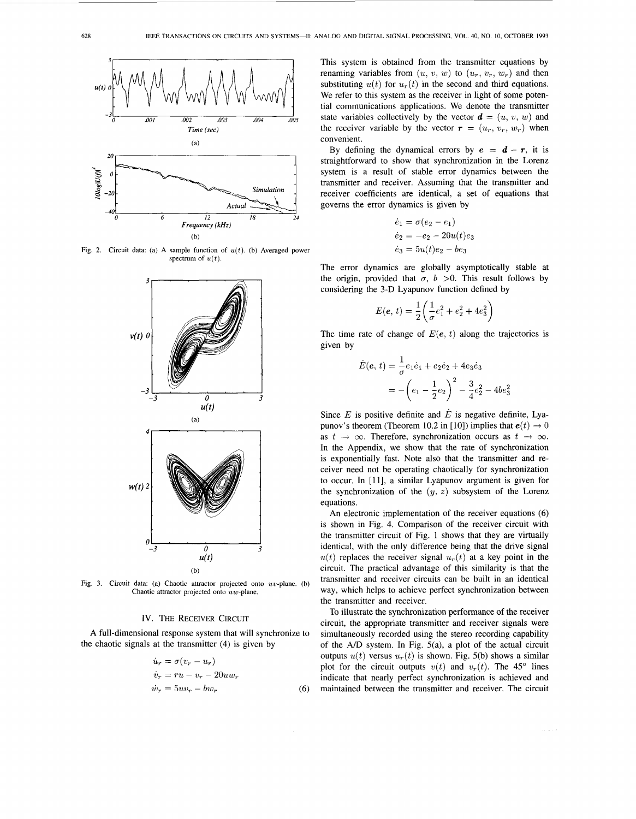<span id="page-2-0"></span>

**spectrum of** *u(t).*  **Fig. 2.** Circuit data: (a) A sample function of  $u(t)$ . (b) Averaged power



**Chaotic attractor projected onto uw-plane. Fig.** *3.* **Circuit data: (a) Chaotic attractor projected onto uv-plane. (b)** 

# Iv. **THE RECEIVER CIRCUIT**

**A** full-dimensional response system that will synchronize to the chaotic signals at the transmitter (4) is given by

$$
\dot{u}_r = \sigma(v_r - u_r)
$$
  
\n
$$
\dot{v}_r = ru - v_r - 20uw_r
$$
  
\n
$$
\dot{w}_r = 5uv_r - bw_r
$$
 (6)

This system is obtained from the transmitter equations by renaming variables from  $(u, v, w)$  to  $(u_r, v_r, w_r)$  and then substituting  $u(t)$  for  $u_r(t)$  in the second and third equations. We refer to this system as the receiver in light of some potential communications applications. We denote the transmitter state variables collectively by the vector  $\mathbf{d} = (u, v, w)$  and the receiver variable by the vector  $\mathbf{r} = (u_r, v_r, w_r)$  when convenient.

By defining the dynamical errors by  $e = d - r$ , it is straightforward to show that synchronization in the Lorenz system is a result of stable error dynamics between the transmitter and receiver. Assuming that the transmitter and receiver coefficients are identical, a set of equations that governs the error dynamics is given by

$$
\begin{aligned}\n\dot{e}_1 &= \sigma(e_2 - e_1) \\
\dot{e}_2 &= -e_2 - 20u(t)e_3 \\
\dot{e}_3 &= 5u(t)e_2 - be_3\n\end{aligned}
$$

The error dynamics are globally asymptotically stable at the origin, provided that  $\sigma$ ,  $b > 0$ . This result follows by considering the 3-D Lyapunov function defined by

$$
E(e, t) = \frac{1}{2} \left( \frac{1}{\sigma} e_1^2 + e_2^2 + 4e_3^2 \right)
$$

The time rate of change of  $E(e, t)$  along the trajectories is given by

$$
\dot{E}(e, t) = \frac{1}{\sigma}e_1\dot{e}_1 + e_2\dot{e}_2 + 4e_3\dot{e}_3
$$

$$
= -\left(e_1 - \frac{1}{2}e_2\right)^2 - \frac{3}{4}e_2^2 - 4be_3^2
$$

Since  $E$  is positive definite and  $\dot{E}$  is negative definite, Lyapunov's theorem (Theorem 10.2 in [10]) implies that  $e(t) \rightarrow 0$ as  $t \rightarrow \infty$ . Therefore, synchronization occurs as  $t \rightarrow \infty$ . In the Appendix, we show that the rate of synchronization is exponentially fast. Note also that the transmitter and receiver need not be operating chaotically for synchronization to occur. In [ 111, a similar Lyapunov argument is given for the synchronization of the  $(y, z)$  subsystem of the Lorenz equations.

An electronic implementation of the receiver equations **(6)**  is shown in [Fig. 4.](#page-3-0) Comparison of the receiver circuit with the transmitter circuit of [Fig. 1](#page-1-0) shows that they are virtually identical, with the only difference being that the drive signal  $u(t)$  replaces the receiver signal  $u_r(t)$  at a key point in the circuit. The practical advantage of this similarity is that the transmitter and receiver circuits can be built in an identical way, which helps to achieve perfect synchronization between the transmitter and receiver.

To illustrate the synchronization performance of the receiver circuit, the appropriate transmitter and receiver signals were simultaneously recorded using the stereo recording capability of the *A/D* system. In Fig. 5(a), a plot of the actual circuit outputs  $u(t)$  versus  $u_r(t)$  is shown. Fig. 5(b) shows a similar plot for the circuit outputs  $v(t)$  and  $v_r(t)$ . The 45° lines indicate that nearly perfect synchronization is achieved and maintained between the transmitter and receiver. The circuit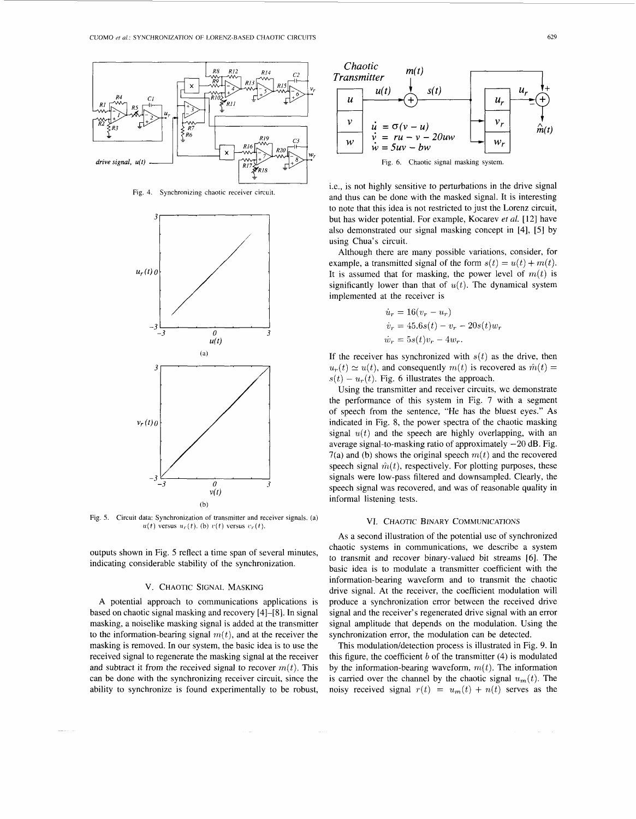<span id="page-3-0"></span>

Fig. 4. Synchronizing chaotic receiver circuit.



 $u(t)$  versus  $u_r(t)$ . (b)  $v(t)$  versus  $v_r(t)$ . Fig. *5.* Circuit data: Synchronization of transmitter and receiver signals. (a)

outputs shown in Fig. 5 reflect a time span of several minutes, indicating considerable stability of the synchronization.

# V. CHAOTIC SIGNAL MASKING

**A** potential approach to communications applications is based on chaotic signal masking and recovery [4]-[8]. In signal masking, a noiselike masking signal is added at the transmitter to the information-bearing signal  $m(t)$ , and at the receiver the masking is removed. In our system, the basic idea is to use the received signal to regenerate the masking signal at the receiver and subtract it from the received signal to recover  $m(t)$ . This can be done with the synchronizing receiver circuit, since the ability to synchronize is found experimentally to be robust,



i.e., is not highly sensitive to perturbations in the drive signal and thus can be done with the masked signal. It is interesting to note that this idea is not restricted to just the Lorenz circuit, but has wider potential. For example, Kocarev et al. [12] have also demonstrated our signal masking concept in [4], *[5]* by using Chua's circuit.

Although there are many possible variations, consider, for example, a transmitted signal of the form  $s(t) = u(t) + m(t)$ . It is assumed that for masking, the power level of  $m(t)$  is significantly lower than that of  $u(t)$ . The dynamical system implemented at the receiver is

$$
\dot{u}_r = 16(v_r - u_r)
$$
  
\n
$$
\dot{v}_r = 45.6s(t) - v_r - 20s(t)w_r
$$
  
\n
$$
\dot{w}_r = 5s(t)v_r - 4w_r.
$$

If the receiver has synchronized with  $s(t)$  as the drive, then  $u_r(t) \simeq u(t)$ , and consequently  $m(t)$  is recovered as  $\hat{m}(t)$  =  $s(t) - u_r(t)$ . Fig. 6 illustrates the approach.

Using the transmitter and receiver circuits, we demonstrate the performance of this system in [Fig. 7](#page-4-0) with a segment of speech from the sentence, "He has the bluest eyes." As indicated in Fig. 8, the power spectra of the chaotic masking signal  $u(t)$  and the speech are highly overlapping, with an average signal-to-masking ratio of approximately *-20* dB. Fig. 7(a) and (b) shows the original speech  $m(t)$  and the recovered speech signal  $\hat{m}(t)$ , respectively. For plotting purposes, these signals were low-pass filtered and downsampled. Clearly, the speech signal was recovered, and was of reasonable quality in informal listening tests.

# VI. CHAOTIC BINARY COMMUNICATIONS

As a second illustration of the potential use of synchronized chaotic systems in communications, we describe a system to transmit and recover binary-valued bit streams [6]. The basic idea is to modulate a transmitter coefficient with the information-bearing waveform and to transmit the chaotic drive signal. At the receiver, the coefficient modulation will produce a synchronization error between the received drive signal and the receiver's regenerated drive signal with an error signal amplitude that depends on the modulation. Using the synchronization error, the modulation can be detected.

This modulation/detection process is illustrated in [Fig. 9.](#page-4-0) In this figure, the coefficient *b* of the transmitter (4) is modulated by the information-bearing waveform,  $m(t)$ . The information is carried over the channel by the chaotic signal  $u_m(t)$ . The noisy received signal  $r(t) = u_m(t) + n(t)$  serves as the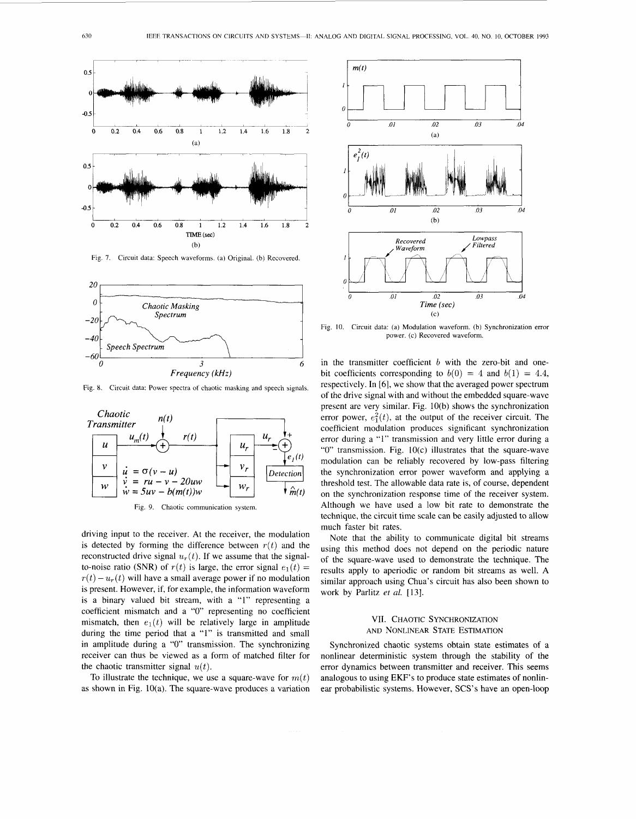<span id="page-4-0"></span>

Fig. 7. Circuit data: Speech waveforms. (a) Original. (b) Recovered.



Fig. 8. Circuit data: Power spectra of chaotic masking and speech signals.





driving input to the receiver. At the receiver, the modulation is detected by forming the difference between  $r(t)$  and the reconstructed drive signal  $u_r(t)$ . If we assume that the signalto-noise ratio (SNR) of  $r(t)$  is large, the error signal  $e_1(t)$  =  $r(t) - u_r(t)$  will have a small average power if no modulation is present. However, if, for example, the information waveform is a binary valued bit stream, with a "1" representing a coefficient mismatch and a *"0"* representing no coefficient mismatch, then  $e_1(t)$  will be relatively large in amplitude during the time period that a "1" is transmitted and small in amplitude during a *"0'* transmission. The synchronizing receiver can thus be viewed as a form of matched filter for the chaotic transmitter signal  $u(t)$ .

To illustrate the technique, we use a square-wave for  $m(t)$ as shown in Fig. 10(a). The square-wave produces a variation



power. (c) Recovered waveform. Fig. IO. Circuit data: (a) Modulation waveform. (b) Synchronization error

in the transmitter coefficient *b* with the zero-bit and onebit coefficients corresponding to  $b(0) = 4$  and  $b(1) = 4.4$ , respectively. In [6], we show that the averaged power spectrum of the drive signal with and without the embedded square-wave present are very similar. Fig. 10(b) shows the synchronization error power,  $e_1^2(t)$ , at the output of the receiver circuit. The coefficient modulation produces significant synchronization error during a "1" transmission and very little error during a *"0"* transmission. [Fig.](#page-1-0) 10(c) illustrates that the square-wave modulation can be reliably recovered by low-pass filtering the synchronization error power waveform and applying a threshold test. The allowable data rate is, of course, dependent on the synchronization response time of the receiver system. Although we have used a low bit rate to demonstrate the technique, the circuit time scale can be easily adjusted to allow much faster bit rates.

Note that the ability to communicate digital bit streams using this method does not depend on the periodic nature of the square-wave used to demonstrate the technique. The results apply to aperiodic or random bit streams as well. A similar approach using Chua's circuit has also been shown to work by Parlitz *et al.* [13].

# VII. CHAOTIC SYNCHRONIZATION AND NONLINEAR STATE ESTIMATION

Synchronized chaotic systems obtain state estimates of a nonlinear deterministic system through the stability of the error dynamics between transmitter and receiver. This seems analogous to using EKF's to produce state estimates of nonlinear probabilistic systems. However, SCS's have an open-loop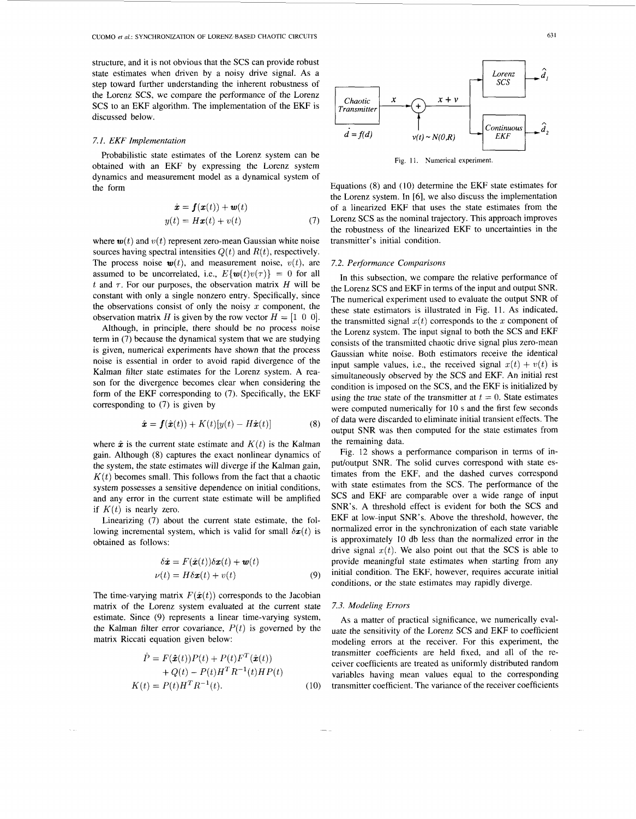structure, and it is not obvious that the SCS can provide robust state estimates when driven by a noisy drive signal. As a step toward further understanding the inherent robustness of the Lorenz SCS, we compare the performance of the Lorenz SCS to an EKF algorithm. The implementation of the EKF is discussed below.

# *7.1. EKF Implementation*

Probabilistic state estimates of the Lorenz system can be obtained with an EKF by expressing the Lorenz system dynamics and measurement model as a dynamical system of the form

$$
\dot{\boldsymbol{x}} = \boldsymbol{f}(\boldsymbol{x}(t)) + \boldsymbol{w}(t) \n y(t) = H\boldsymbol{x}(t) + v(t)
$$
\n(7)

where  $w(t)$  and  $v(t)$  represent zero-mean Gaussian white noise sources having spectral intensities  $Q(t)$  and  $R(t)$ , respectively. The process noise  $w(t)$ , and measurement noise,  $v(t)$ , are assumed to be uncorrelated, i.e.,  $E\{\mathbf{w}(t)v(\tau)\} = 0$  for all  $t$  and  $\tau$ . For our purposes, the observation matrix *H* will be constant with only a single nonzero entry. Specifically, since the observations consist of only the noisy  $x$  component, the observation matrix *H* is given by the row vector  $H = \begin{bmatrix} 1 & 0 & 0 \end{bmatrix}$ .

Although, in principle, there should be no process noise term in (7) because the dynamical system that we are studying is given, numerical experiments have shown that the process noise is essential in order to avoid rapid divergence of the Kalman filter state estimates for the Lorenz system. A reason for the divergence becomes clear when considering the form of the EKF corresponding to (7). Specifically, the EKF corresponding to (7) is given by

$$
\hat{\boldsymbol{x}} = \boldsymbol{f}(\hat{\boldsymbol{x}}(t)) + K(t)[y(t) - H\hat{\boldsymbol{x}}(t)] \tag{8}
$$

where  $\hat{x}$  is the current state estimate and  $K(t)$  is the Kalman gain. Although (8) captures the exact nonlinear dynamics of the system, the state estimates will diverge if the Kalman gain,  $K(t)$  becomes small. This follows from the fact that a chaotic system possesses a sensitive dependence on initial conditions, and any error in the current state estimate will be amplified if  $K(t)$  is nearly zero.

Linearizing (7) about the current state estimate, the following incremental system, which is valid for small  $\delta x(t)$  is obtained as follows:

$$
\delta \dot{\boldsymbol{x}} = F(\hat{\boldsymbol{x}}(t)) \delta \boldsymbol{x}(t) + \boldsymbol{w}(t)
$$
  

$$
\nu(t) = H \delta \boldsymbol{x}(t) + v(t)
$$
 (9)

The time-varying matrix  $F(\hat{x}(t))$  corresponds to the Jacobian matrix of the Lorenz system evaluated at the current state estimate. Since (9) represents a linear time-varying system, the Kalman filter error covariance,  $P(t)$  is governed by the matrix Riccati equation given below:

$$
\dot{P} = F(\hat{\boldsymbol{x}}(t))P(t) + P(t)F^{T}(\hat{\boldsymbol{x}}(t))
$$

$$
+ Q(t) - P(t)H^{T}R^{-1}(t)HP(t)
$$

$$
K(t) = P(t)H^{T}R^{-1}(t).
$$
 (10)



Fig. 11. Numerical experiment.

Equations (8) and (10) determine the EKF state estimates for the Lorenz system. In [6], we also discuss the implementation of a linearized EKF that uses the state estimates from the Lorenz SCS as the nominal trajectory. This approach improves the robustness of the linearized EKF to uncertainties in the transmitter's initial condition.

# *7.2. Performance Comparisons*

In this subsection, we compare the relative performance of the Lorenz SCS and EKF in terms of the input and output SNR. The numerical experiment used to evaluate the output SNR of these state estimators is illustrated in Fig. 11. As indicated, the transmitted signal  $x(t)$  corresponds to the x component of the Lorenz system. The input signal to both the SCS and EKF consists of the transmitted chaotic drive signal plus zero-mean Gaussian white noise. Both estimators receive the identical input sample values, i.e., the received signal  $x(t) + v(t)$  is simultaneously observed by the SCS and EKF. An initial rest condition is imposed on the SCS, and the EKF is initialized by using the true state of the transmitter at  $t = 0$ . State estimates were computed numerically for 10 s and the first few seconds of data were discarded to eliminate initial transient effects. The output SNR was then computed for the state estimates from the remaining data.

Fig. 12 shows a performance comparison in terms of input/output SNR. The solid curves correspond with state estimates from the EKF, and the dashed curves correspond with state estimates from the SCS. The performance of the SCS and EKF are comparable over a wide range of input SNR's. A threshold effect is evident for both the SCS and EKF at low-input SNR's. Above the threshold, however, the normalized error in the synchronization of each state variable is approximately 10 db less than the normalized error in the drive signal  $x(t)$ . We also point out that the SCS is able to provide meaningful state estimates when starting from any initial condition. The EKF, however, requires accurate initial conditions, or the state estimates may rapidly diverge.

# *7.3. Modeling Errors*

As a matter of practical significance, we numerically evaluate the sensitivity of the Lorenz SCS and EKF to coefficient modeling errors at the receiver. For this experiment, the transmitter coefficients are held fixed, and all of the receiver coefficients are treated as uniformly distributed random variables having mean values equal to the corresponding transmitter coefficient. The variance of the receiver coefficients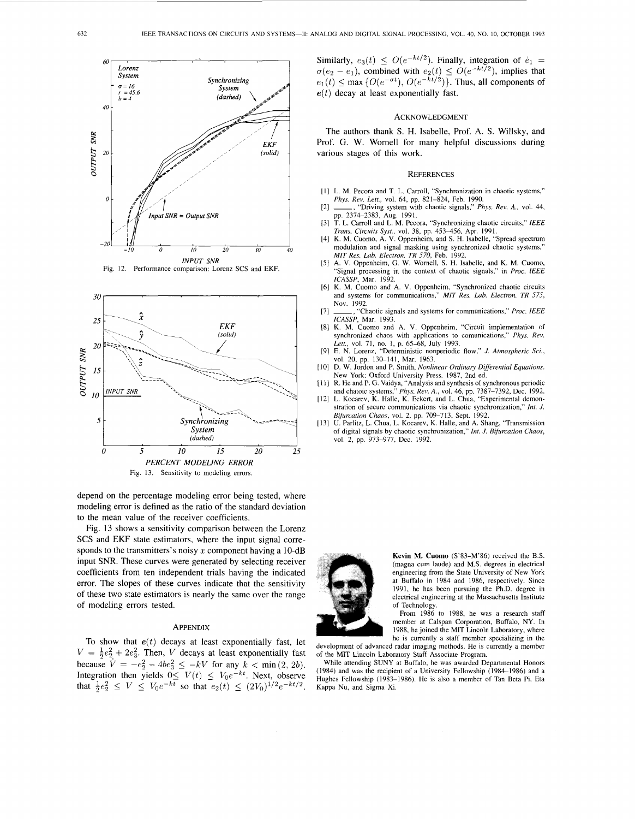



depend on the percentage modeling error being tested, where modeling error is defined as the ratio of the standard deviation to the mean value of the receiver coefficients.

Fig. 13 shows a sensitivity comparison between the Lorenz SCS and EKF state estimators, where the input signal corresponds to the transmitters's noisy  $x$  component having a 10-dB input SNR. These curves were generated by selecting receiver coefficients from ten independent trials having the indicated error. The slopes of these curves indicate that the sensitivity of these two state estimators is nearly the same over the range of modeling errors tested.

#### **APPENDIX**

To show that  $e(t)$  decays at least exponentially fast, let  $V = \frac{1}{2}e_2^2 + 2e_3^2$ . Then, *V* decays at least exponentially fast because  $\dot{V} = -e_2^2 - 4be_3^2 \leq -kV$  for any  $k < \min(2, 2b)$ . Integration then yields  $0 \leq V(t) \leq V_0 e^{-kt}$ . Next, observe that  $\frac{1}{2}e_2^2 \leq V \leq V_0e^{-kt}$  so that  $e_2(t) \leq$ 

Similarly,  $e_3(t) \leq O(e^{-kt/2})$ . Finally, integration of  $\dot{e}_1$  =  $\sigma(e_2 - e_1)$ , combined with  $e_2(t) \leq O(e^{-kt/2})$ , implies that  $e_1(t)$  5 max  ${O(e^{-\sigma t})}$ ,  $O(e^{-kt/2})$ . Thus, all components of  $e(t)$  decay at least exponentially fast.

#### ACKNOWLEDGMENT

The authors thank **S.** H. Isabelle, Prof. A. S. Willsky, and Prof. G. W. Womell for many helpful discussions during various stages of this work.

#### **REFERENCES**

- [1] L. M. Pecora and T. L. Carroll, "Synchronization in chaotic systems," *Phys. Rev. Lett.,* vol. 64, pp. 821-824, Feb. 1990.
- [2]  $\_\_$ , "Driving system with chaotic signals," *Phys. Rev. A.*, vol. 44,
- pp. 2374-2383, Aug. 1991. 131 T. L. Carroll and L. M. Pecora, "Synchronizing chaotic circuits," *IEEE*
- *Trans. Circuits Syst.*, vol. 38, pp. 453–456, Apr. 1991.<br>[4] K. M. Cuomo, A. V. Oppenheim, and *S. H. Isabelle*, "Spread spectrum modulation and signal masking using synchronized chaotic systems," *MIT Res. Lab. Elecrron. TR 570,* Feb. 1992.
- [5] A. V. Oppenheim, G. W. Wornell, S. H. Isabelle, and K. M. Cuomo, "Signal processing in the context of chaotic signals," in *Proc. IEEE ICASSP,* Mar. 1992.
- **161** K. M. Cuomo and A. V. Oppenheim, "Synchronized chaotic circuits and systems for communications," *MIT Res. Lab. Electron. TR 575,*  Nov. 1992.
- [7] -, "Chaotic signals and systems for communications," *Proc. IEEE ICASSP, Mar.* 1993.
- [SI K. M. Cuomo and A. V. Oppenheim, "Circuit implementation of synchronized chaos with applications to comunications," *Phys. Rev. Lett.,* vol. 71, *no.* 1, p. 65-68, July 1993.
- 191 E. N. Lorenz, "Deterministic nonperiodic flow," *J. Atmospheric Sci.,*  vol. 20, pp. 130-141, Mar. 1963.
- [10] D. W. Jordon and P. Smith, *Nonlinear Ordinary Differential Equations.* New York: Oxford University Press. 1987, 2nd ed.
- [11] R. He and P. G. Vaidya, "Analysis and synthesis of synchronous periodic<br>and chatoic systems," Phys. Rev. A., vol. 46, pp. 7387–7392, Dec. 1992.<br>[12] L. Kocarev, K. Halle, K. Eckert, and L. Chua, "Experimental demon-
- stration of secure communications via chaotic synchronization," *Int. J. Bifurcation Chaos,* vol. 2, pp. 709-713, Sept. 1992.
- [13] U. Parlitz, L. Chua, L. Kocarev, K. Halle, and A. Shang, "Transmission of digital signals by chaotic synchronization," Int. J. Bifurcation Chaos, vol. 2, pp. 973-977, Dec. 1992.



**Kevin M. Cuomo** (S'83-M'86) received the B.S. (magna cum laude) and **M** *S.* degrees in electrical engineering from the State University of New York at Buffalo in 1984 and 1986, respectively. Since 1991, he has been pursuing the Ph.D. degree in electrical engineering at the Massachusetts Institute of Technology.

From 1986 to 1988, he was a research staff member at Calspan Corporation, Buffalo, NY In 1988, he joined the MIT Lincoln Laboratory, where he is currently a staff member specializing in the

development of advanced radar imaging methods He is currently a member of the MIT Lincoln Laboratory Staff Associate Program

While attending SUNY at Buffalo, he was awarded Departmental Honors (1984) and was the recipient of a University Fellowship (1984-1986) and a Hughes Fellowship (1983-1986) He is also a member of Tan Beta Pi, Eta Kappa Nu, and Sigma Xi